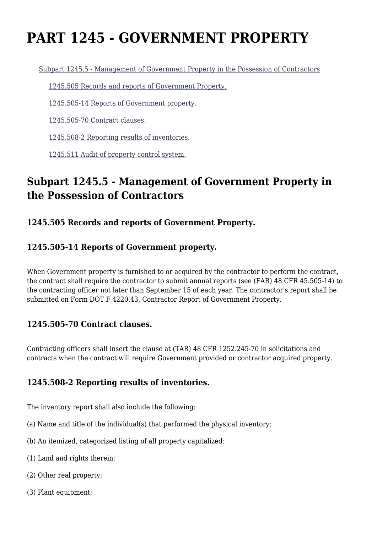# **PART 1245 - GOVERNMENT PROPERTY**

[Subpart 1245.5 - Management of Government Property in the Possession of Contractors](https://origin-www.acquisition.gov/%5Brp:link:tar-part-1245%5D#Subpart_1245_5_T48_50541301)

[1245.505 Records and reports of Government Property.](https://origin-www.acquisition.gov/%5Brp:link:tar-part-1245%5D#Section_1245_505_T48_5054130111)

[1245.505-14 Reports of Government property.](https://origin-www.acquisition.gov/%5Brp:link:tar-part-1245%5D#Section_1245_505_14_T48_5054130112)

[1245.505-70 Contract clauses.](https://origin-www.acquisition.gov/%5Brp:link:tar-part-1245%5D#Section_1245_505_70_T48_5054130113)

[1245.508-2 Reporting results of inventories.](https://origin-www.acquisition.gov/%5Brp:link:tar-part-1245%5D#Section_1245_508_2_T48_5054130114)

[1245.511 Audit of property control system.](https://origin-www.acquisition.gov/%5Brp:link:tar-part-1245%5D#Section_1245_511_T48_5054130115)

## **Subpart 1245.5 - Management of Government Property in the Possession of Contractors**

#### **1245.505 Records and reports of Government Property.**

#### **1245.505-14 Reports of Government property.**

When Government property is furnished to or acquired by the contractor to perform the contract, the contract shall require the contractor to submit annual reports (see (FAR) 48 CFR 45.505-14) to the contracting officer not later than September 15 of each year. The contractor's report shall be submitted on Form DOT F 4220.43, Contractor Report of Government Property.

#### **1245.505-70 Contract clauses.**

Contracting officers shall insert the clause at (TAR) 48 CFR 1252.245-70 in solicitations and contracts when the contract will require Government provided or contractor acquired property.

#### **1245.508-2 Reporting results of inventories.**

The inventory report shall also include the following:

- (a) Name and title of the individual(s) that performed the physical inventory;
- (b) An itemized, categorized listing of all property capitalized:
- (1) Land and rights therein;
- (2) Other real property;
- (3) Plant equipment;